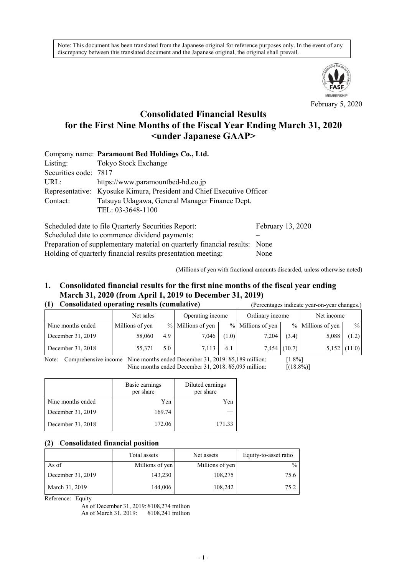Note: This document has been translated from the Japanese original for reference purposes only. In the event of any discrepancy between this translated document and the Japanese original, the original shall prevail.



February 5, 2020

# **Consolidated Financial Results for the First Nine Months of the Fiscal Year Ending March 31, 2020 <under Japanese GAAP>**

|                       | Company name: Paramount Bed Holdings Co., Ltd.                        |                   |  |  |  |  |  |
|-----------------------|-----------------------------------------------------------------------|-------------------|--|--|--|--|--|
| Listing:              | Tokyo Stock Exchange                                                  |                   |  |  |  |  |  |
| Securities code: 7817 |                                                                       |                   |  |  |  |  |  |
| URL:                  | https://www.paramountbed-hd.co.jp                                     |                   |  |  |  |  |  |
|                       | Representative: Kyosuke Kimura, President and Chief Executive Officer |                   |  |  |  |  |  |
| Contact:              | Tatsuya Udagawa, General Manager Finance Dept.                        |                   |  |  |  |  |  |
| TEL: 03-3648-1100     |                                                                       |                   |  |  |  |  |  |
|                       | Scheduled date to file Quarterly Securities Report:                   | February 13, 2020 |  |  |  |  |  |

Scheduled date to commence dividend payments: Preparation of supplementary material on quarterly financial results: None Holding of quarterly financial results presentation meeting: None

(Millions of yen with fractional amounts discarded, unless otherwise noted)

# **1. Consolidated financial results for the first nine months of the fiscal year ending March 31, 2020 (from April 1, 2019 to December 31, 2019)**

|  | (1) Consolidated operating results (cumulative) |  |
|--|-------------------------------------------------|--|
|  |                                                 |  |

| Consolidated operating results (cumulative)<br>(1) |                 |     |                   | (Percentages indicate year-on-year changes.) |                   |                |                   |                |
|----------------------------------------------------|-----------------|-----|-------------------|----------------------------------------------|-------------------|----------------|-------------------|----------------|
|                                                    | Net sales       |     | Operating income  |                                              | Ordinary income   |                | Net income        |                |
| Nine months ended                                  | Millions of yen |     | % Millions of yen |                                              | % Millions of yen |                | % Millions of yen | $\%$           |
| December 31, 2019                                  | 58,060          | 4.9 | 7,046             | (1.0)                                        | 7,204             | (3.4)          | 5,088             | (1.2)          |
| December 31, 2018                                  | 55,371          | 5.0 | 7.113             | 6.1                                          |                   | $7,454$ (10.7) |                   | $5,152$ (11.0) |

Note: Comprehensive income Nine months ended December 31, 2019: ¥5,189 million: [1.8%] Nine months ended December 31, 2018: ¥5,095 million: [(18.8%)]

|                   | Basic earnings<br>Diluted earnings<br>per share<br>per share |        |
|-------------------|--------------------------------------------------------------|--------|
| Nine months ended | Yen                                                          | Yen    |
| December 31, 2019 | 169.74                                                       |        |
| December 31, 2018 | 172.06                                                       | 171.33 |

### **(2) Consolidated financial position**

|                   | Total assets    | Net assets      | Equity-to-asset ratio |
|-------------------|-----------------|-----------------|-----------------------|
| As of             | Millions of yen | Millions of yen | $\frac{0}{0}$         |
| December 31, 2019 | 143,230         | 108,275         | 75.6                  |
| March 31, 2019    | 144,006         | 108,242         | 75.2                  |

Reference: Equity

As of December 31, 2019: ¥108,274 million As of March 31, 2019: ¥108,241 million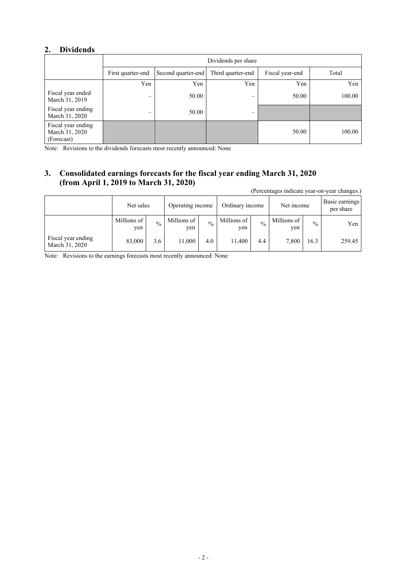## **2. Dividends**

|                                                    | Dividends per share      |                    |                          |                 |        |  |  |  |
|----------------------------------------------------|--------------------------|--------------------|--------------------------|-----------------|--------|--|--|--|
|                                                    | First quarter-end        | Second quarter-end | Third quarter-end        | Fiscal year-end | Total  |  |  |  |
|                                                    | Yen                      | Yen                | Yen                      | Yen             | Yen    |  |  |  |
| Fiscal year ended<br>March 31, 2019                | $\overline{\phantom{0}}$ | 50.00              | $\overline{\phantom{0}}$ | 50.00           | 100.00 |  |  |  |
| Fiscal year ending<br>March 31, 2020               |                          | 50.00              |                          |                 |        |  |  |  |
| Fiscal year ending<br>March 31, 2020<br>(Forecast) |                          |                    |                          | 50.00           | 100.00 |  |  |  |

Note: Revisions to the dividends forecasts most recently announced: None

# **3. Consolidated earnings forecasts for the fiscal year ending March 31, 2020 (from April 1, 2019 to March 31, 2020)**

(Percentages indicate year-on-year changes.)

|                                      | Net sales          |               | Operating income   |               | Ordinary income    |               | Net income         |      | Basic earnings<br>per share |
|--------------------------------------|--------------------|---------------|--------------------|---------------|--------------------|---------------|--------------------|------|-----------------------------|
|                                      | Millions of<br>yen | $\frac{0}{0}$ | Millions of<br>yen | $\frac{0}{0}$ | Millions of<br>yen | $\frac{0}{0}$ | Millions of<br>yen | $\%$ | Yen                         |
| Fiscal year ending<br>March 31, 2020 | 83,000             | 3.6           | 11,000             | 4.0           | 11,400             | 4.4           | 7,800              | 16.3 | 259.45                      |

Note: Revisions to the earnings forecasts most recently announced: None